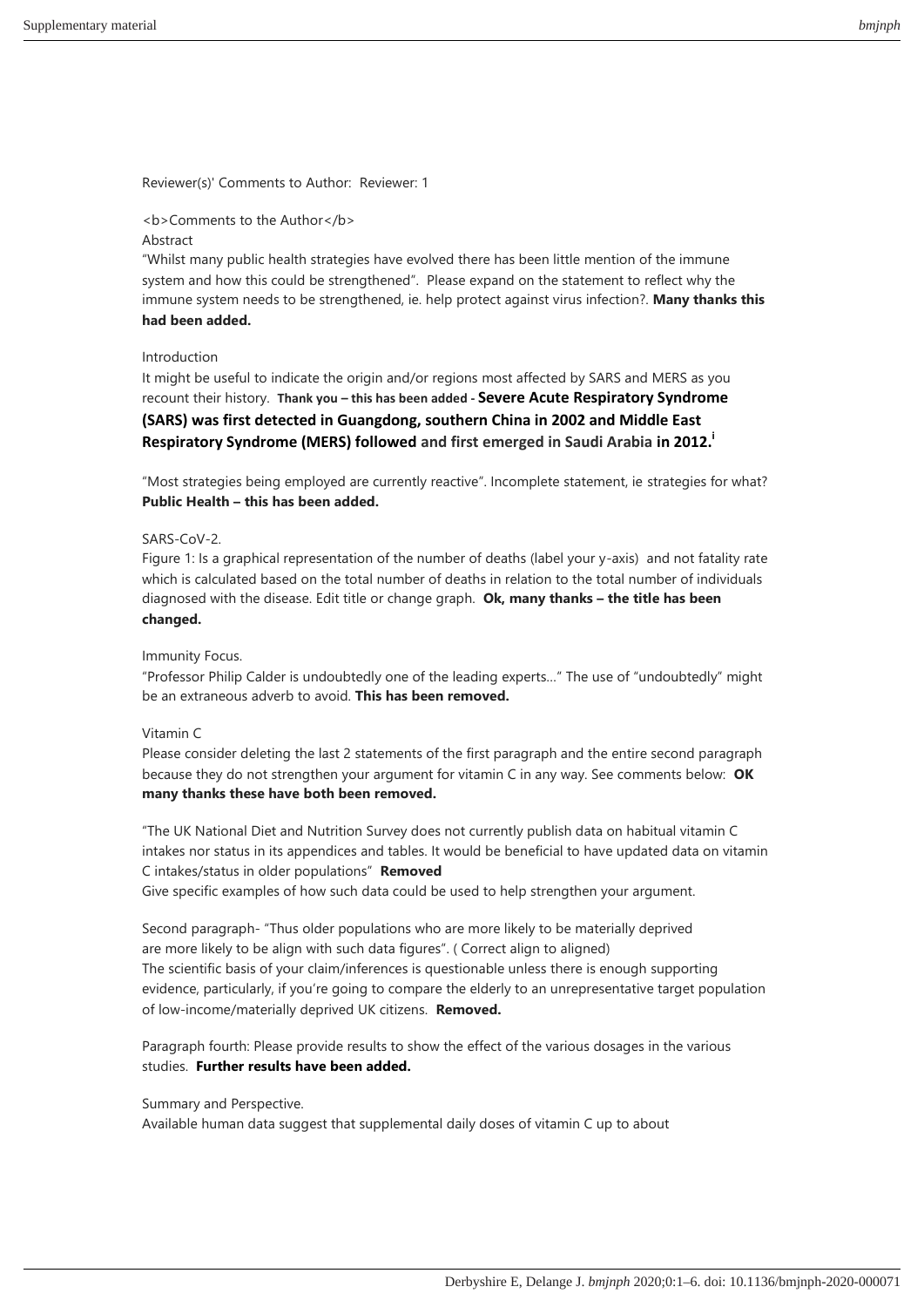Reviewer(s)' Comments to Author: Reviewer: 1

## <b>Comments to the Author</b>

## **Abstract**

"Whilst many public health strategies have evolved there has been little mention of the immune system and how this could be strengthened". Please expand on the statement to reflect why the immune system needs to be strengthened, ie. help protect against virus infection?. **Many thanks this had been added.**

## Introduction

It might be useful to indicate the origin and/or regions most affected by SARS and MERS as you recount their history. **Thank you – this has been added - Severe Acute Respiratory Syndrome (SARS) was first detected in Guangdong, southern China in 2002 and Middle East Respiratory Syndrome (MERS) followed and first emerged in Saudi Arabia in 2012.<sup>i</sup>**

"Most strategies being employed are currently reactive". Incomplete statement, ie strategies for what? **Public Health – this has been added.**

# SARS-CoV-2.

Figure 1: Is a graphical representation of the number of deaths (label your y-axis) and not fatality rate which is calculated based on the total number of deaths in relation to the total number of individuals diagnosed with the disease. Edit title or change graph. **Ok, many thanks – the title has been changed.**

## Immunity Focus.

"Professor Philip Calder is undoubtedly one of the leading experts…" The use of "undoubtedly" might be an extraneous adverb to avoid. **This has been removed.**

## Vitamin C

Please consider deleting the last 2 statements of the first paragraph and the entire second paragraph because they do not strengthen your argument for vitamin C in any way. See comments below: **OK many thanks these have both been removed.**

"The UK National Diet and Nutrition Survey does not currently publish data on habitual vitamin C intakes nor status in its appendices and tables. It would be beneficial to have updated data on vitamin C intakes/status in older populations" **Removed**

Give specific examples of how such data could be used to help strengthen your argument.

Second paragraph- "Thus older populations who are more likely to be materially deprived are more likely to be align with such data figures". ( Correct align to aligned) The scientific basis of your claim/inferences is questionable unless there is enough supporting evidence, particularly, if you're going to compare the elderly to an unrepresentative target population of low-income/materially deprived UK citizens. **Removed.**

Paragraph fourth: Please provide results to show the effect of the various dosages in the various studies. **Further results have been added.**

## Summary and Perspective.

Available human data suggest that supplemental daily doses of vitamin C up to about